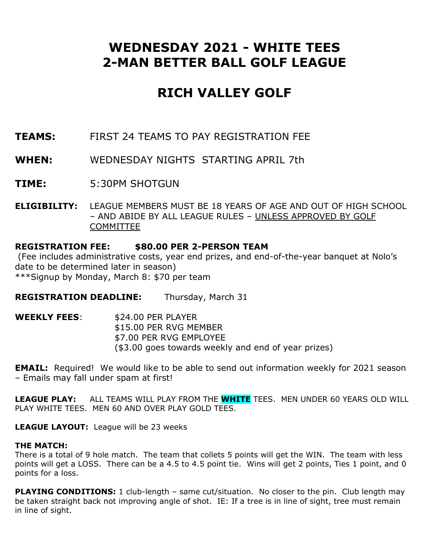# **WEDNESDAY 2021 - WHITE TEES 2-MAN BETTER BALL GOLF LEAGUE**

# **RICH VALLEY GOLF**

- **TEAMS:** FIRST 24 TEAMS TO PAY REGISTRATION FEE
- **WHEN:** WEDNESDAY NIGHTS STARTING APRIL 7th
- **TIME:** 5:30PM SHOTGUN
- **ELIGIBILITY:** LEAGUE MEMBERS MUST BE 18 YEARS OF AGE AND OUT OF HIGH SCHOOL – AND ABIDE BY ALL LEAGUE RULES – UNLESS APPROVED BY GOLF **COMMITTEE**

# **REGISTRATION FEE: \$80.00 PER 2-PERSON TEAM**

(Fee includes administrative costs, year end prizes, and end-of-the-year banquet at Nolo's date to be determined later in season) \*\*\*Signup by Monday, March 8: \$70 per team

**REGISTRATION DEADLINE:** Thursday, March 31

| WEEKLY FEES: | \$24.00 PER PLAYER                                  |
|--------------|-----------------------------------------------------|
|              | \$15.00 PER RVG MEMBER                              |
|              | \$7.00 PER RVG EMPLOYEE                             |
|              | (\$3.00 goes towards weekly and end of year prizes) |

**EMAIL:** Required! We would like to be able to send out information weekly for 2021 season – Emails may fall under spam at first!

**LEAGUE PLAY:** ALL TEAMS WILL PLAY FROM THE **WHITE** TEES. MEN UNDER 60 YEARS OLD WILL PLAY WHITE TEES. MEN 60 AND OVER PLAY GOLD TEES.

**LEAGUE LAYOUT:** League will be 23 weeks

# **THE MATCH:**

There is a total of 9 hole match. The team that collets 5 points will get the WIN. The team with less points will get a LOSS. There can be a 4.5 to 4.5 point tie. Wins will get 2 points, Ties 1 point, and 0 points for a loss.

**PLAYING CONDITIONS:** 1 club-length – same cut/situation. No closer to the pin. Club length may be taken straight back not improving angle of shot. IE: If a tree is in line of sight, tree must remain in line of sight.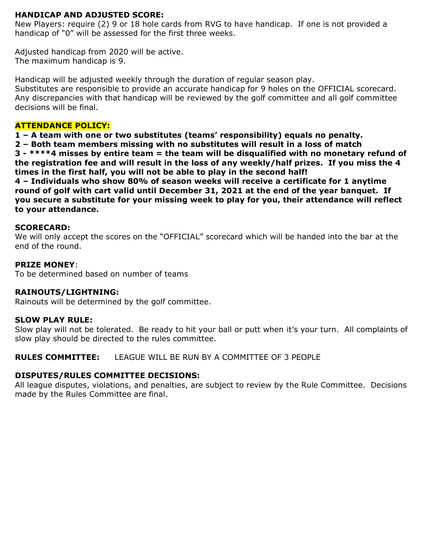# **HANDICAP AND ADJUSTED SCORE:**

New Players: require (2) 9 or 18 hole cards from RVG to have handicap. If one is not provided a handicap of "0" will be assessed for the first three weeks.

Adjusted handicap from 2020 will be active. The maximum handicap is 9.

Handicap will be adjusted weekly through the duration of regular season play. Substitutes are responsible to provide an accurate handicap for 9 holes on the OFFICIAL scorecard. Any discrepancies with that handicap will be reviewed by the golf committee and all golf committee decisions will be final.

#### **ATTENDANCE POLICY:**

**1 – A team with one or two substitutes (teams' responsibility) equals no penalty.**

**2 – Both team members missing with no substitutes will result in a loss of match**

**3 - \*\*\*\*4 misses by entire team = the team will be disqualified with no monetary refund of the registration fee and will result in the loss of any weekly/half prizes. If you miss the 4 times in the first half, you will not be able to play in the second half!**

**4 – Individuals who show 80% of season weeks will receive a certificate for 1 anytime round of golf with cart valid until December 31, 2021 at the end of the year banquet. If you secure a substitute for your missing week to play for you, their attendance will reflect to your attendance.** 

#### **SCORECARD:**

We will only accept the scores on the "OFFICIAL" scorecard which will be handed into the bar at the end of the round.

#### **PRIZE MONEY**:

To be determined based on number of teams

# **RAINOUTS/LIGHTNING:**

Rainouts will be determined by the golf committee.

#### **SLOW PLAY RULE:**

Slow play will not be tolerated. Be ready to hit your ball or putt when it's your turn. All complaints of slow play should be directed to the rules committee.

**RULES COMMITTEE:** LEAGUE WILL BE RUN BY A COMMITTEE OF 3 PEOPLE

# **DISPUTES/RULES COMMITTEE DECISIONS:**

All league disputes, violations, and penalties, are subject to review by the Rule Committee. Decisions made by the Rules Committee are final.